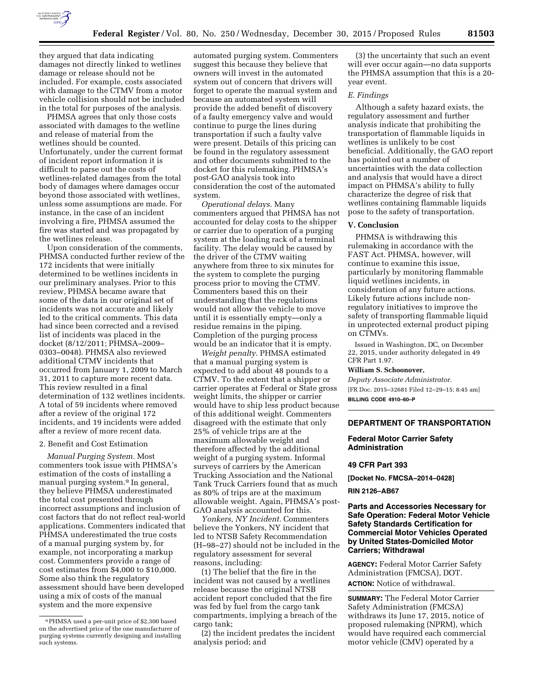

they argued that data indicating damages not directly linked to wetlines damage or release should not be included. For example, costs associated with damage to the CTMV from a motor vehicle collision should not be included in the total for purposes of the analysis.

PHMSA agrees that only those costs associated with damages to the wetline and release of material from the wetlines should be counted. Unfortunately, under the current format of incident report information it is difficult to parse out the costs of wetlines-related damages from the total body of damages where damages occur beyond those associated with wetlines, unless some assumptions are made. For instance, in the case of an incident involving a fire, PHMSA assumed the fire was started and was propagated by the wetlines release.

Upon consideration of the comments, PHMSA conducted further review of the 172 incidents that were initially determined to be wetlines incidents in our preliminary analyses. Prior to this review, PHMSA became aware that some of the data in our original set of incidents was not accurate and likely led to the critical comments. This data had since been corrected and a revised list of incidents was placed in the docket (8/12/2011; PHMSA–2009– 0303–0048). PHMSA also reviewed additional CTMV incidents that occurred from January 1, 2009 to March 31, 2011 to capture more recent data. This review resulted in a final determination of 132 wetlines incidents. A total of 59 incidents where removed after a review of the original 172 incidents, and 19 incidents were added after a review of more recent data.

#### 2. Benefit and Cost Estimation

*Manual Purging System.* Most commenters took issue with PHMSA's estimation of the costs of installing a manual purging system.9 In general, they believe PHMSA underestimated the total cost presented through incorrect assumptions and inclusion of cost factors that do not reflect real-world applications. Commenters indicated that PHMSA underestimated the true costs of a manual purging system by, for example, not incorporating a markup cost. Commenters provide a range of cost estimates from \$4,000 to \$10,000. Some also think the regulatory assessment should have been developed using a mix of costs of the manual system and the more expensive

automated purging system. Commenters suggest this because they believe that owners will invest in the automated system out of concern that drivers will forget to operate the manual system and because an automated system will provide the added benefit of discovery of a faulty emergency valve and would continue to purge the lines during transportation if such a faulty valve were present. Details of this pricing can be found in the regulatory assessment and other documents submitted to the docket for this rulemaking. PHMSA's post-GAO analysis took into consideration the cost of the automated system.

*Operational delays.* Many commenters argued that PHMSA has not accounted for delay costs to the shipper or carrier due to operation of a purging system at the loading rack of a terminal facility. The delay would be caused by the driver of the CTMV waiting anywhere from three to six minutes for the system to complete the purging process prior to moving the CTMV. Commenters based this on their understanding that the regulations would not allow the vehicle to move until it is essentially empty—only a residue remains in the piping. Completion of the purging process would be an indicator that it is empty.

*Weight penalty.* PHMSA estimated that a manual purging system is expected to add about 48 pounds to a CTMV. To the extent that a shipper or carrier operates at Federal or State gross weight limits, the shipper or carrier would have to ship less product because of this additional weight. Commenters disagreed with the estimate that only 25% of vehicle trips are at the maximum allowable weight and therefore affected by the additional weight of a purging system. Informal surveys of carriers by the American Trucking Association and the National Tank Truck Carriers found that as much as 80% of trips are at the maximum allowable weight. Again, PHMSA's post-GAO analysis accounted for this.

*Yonkers, NY Incident.* Commenters believe the Yonkers, NY incident that led to NTSB Safety Recommendation (H–98–27) should not be included in the regulatory assessment for several reasons, including:

(1) The belief that the fire in the incident was not caused by a wetlines release because the original NTSB accident report concluded that the fire was fed by fuel from the cargo tank compartments, implying a breach of the cargo tank;

(2) the incident predates the incident analysis period; and

(3) the uncertainty that such an event will ever occur again—no data supports the PHMSA assumption that this is a 20 year event.

### *E. Findings*

Although a safety hazard exists, the regulatory assessment and further analysis indicate that prohibiting the transportation of flammable liquids in wetlines is unlikely to be cost beneficial. Additionally, the GAO report has pointed out a number of uncertainties with the data collection and analysis that would have a direct impact on PHMSA's ability to fully characterize the degree of risk that wetlines containing flammable liquids pose to the safety of transportation.

### **V. Conclusion**

PHMSA is withdrawing this rulemaking in accordance with the FAST Act. PHMSA, however, will continue to examine this issue, particularly by monitoring flammable liquid wetlines incidents, in consideration of any future actions. Likely future actions include nonregulatory initiatives to improve the safety of transporting flammable liquid in unprotected external product piping on CTMVs.

Issued in Washington, DC, on December 22, 2015, under authority delegated in 49 CFR Part 1.97.

#### **William S. Schoonover,**

*Deputy Associate Administrator.*  [FR Doc. 2015–32681 Filed 12–29–15; 8:45 am] **BILLING CODE 4910–60–P** 

#### **DEPARTMENT OF TRANSPORTATION**

### **Federal Motor Carrier Safety Administration**

### **49 CFR Part 393**

**[Docket No. FMCSA–2014–0428]** 

### **RIN 2126–AB67**

# **Parts and Accessories Necessary for Safe Operation: Federal Motor Vehicle Safety Standards Certification for Commercial Motor Vehicles Operated by United States-Domiciled Motor Carriers; Withdrawal**

**AGENCY:** Federal Motor Carrier Safety Administration (FMCSA), DOT. **ACTION:** Notice of withdrawal.

**SUMMARY:** The Federal Motor Carrier Safety Administration (FMCSA) withdraws its June 17, 2015, notice of proposed rulemaking (NPRM), which would have required each commercial motor vehicle (CMV) operated by a

<sup>9</sup>PHMSA used a per-unit price of \$2,300 based on the advertised price of the one manufacturer of purging systems currently designing and installing such systems.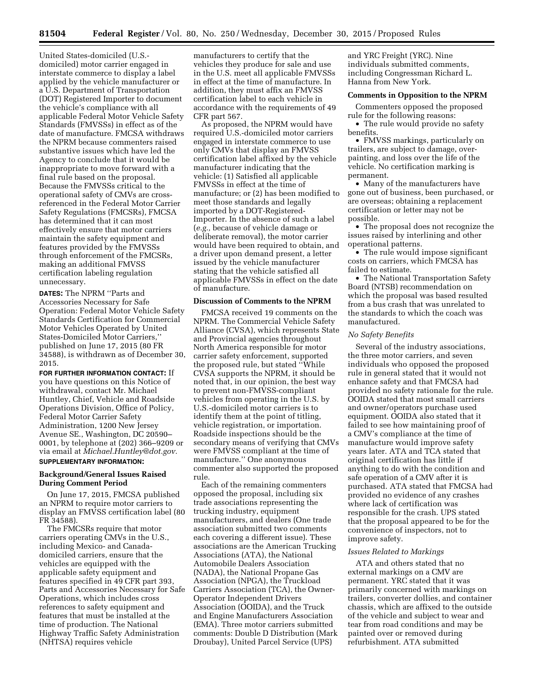United States-domiciled (U.S. domiciled) motor carrier engaged in interstate commerce to display a label applied by the vehicle manufacturer or a U.S. Department of Transportation (DOT) Registered Importer to document the vehicle's compliance with all applicable Federal Motor Vehicle Safety Standards (FMVSSs) in effect as of the date of manufacture. FMCSA withdraws the NPRM because commenters raised substantive issues which have led the Agency to conclude that it would be inappropriate to move forward with a final rule based on the proposal. Because the FMVSSs critical to the operational safety of CMVs are crossreferenced in the Federal Motor Carrier Safety Regulations (FMCSRs), FMCSA has determined that it can most effectively ensure that motor carriers maintain the safety equipment and features provided by the FMVSSs through enforcement of the FMCSRs, making an additional FMVSS certification labeling regulation unnecessary.

**DATES:** The NPRM ''Parts and Accessories Necessary for Safe Operation: Federal Motor Vehicle Safety Standards Certification for Commercial Motor Vehicles Operated by United States-Domiciled Motor Carriers,'' published on June 17, 2015 (80 FR 34588), is withdrawn as of December 30, 2015.

**FOR FURTHER INFORMATION CONTACT:** If you have questions on this Notice of withdrawal, contact Mr. Michael Huntley, Chief, Vehicle and Roadside Operations Division, Office of Policy, Federal Motor Carrier Safety Administration, 1200 New Jersey Avenue SE., Washington, DC 20590– 0001, by telephone at (202) 366–9209 or via email at *[Michael.Huntley@dot.gov.](mailto:Michael.Huntley@dot.gov)*  **SUPPLEMENTARY INFORMATION:** 

# **Background/General Issues Raised During Comment Period**

On June 17, 2015, FMCSA published an NPRM to require motor carriers to display an FMVSS certification label (80 FR 34588).

The FMCSRs require that motor carriers operating CMVs in the U.S., including Mexico- and Canadadomiciled carriers, ensure that the vehicles are equipped with the applicable safety equipment and features specified in 49 CFR part 393, Parts and Accessories Necessary for Safe Operations, which includes cross references to safety equipment and features that must be installed at the time of production. The National Highway Traffic Safety Administration (NHTSA) requires vehicle

manufacturers to certify that the vehicles they produce for sale and use in the U.S. meet all applicable FMVSSs in effect at the time of manufacture. In addition, they must affix an FMVSS certification label to each vehicle in accordance with the requirements of 49 CFR part 567.

As proposed, the NPRM would have required U.S.-domiciled motor carriers engaged in interstate commerce to use only CMVs that display an FMVSS certification label affixed by the vehicle manufacturer indicating that the vehicle: (1) Satisfied all applicable FMVSSs in effect at the time of manufacture; or (2) has been modified to meet those standards and legally imported by a DOT-Registered-Importer. In the absence of such a label (*e.g.,* because of vehicle damage or deliberate removal), the motor carrier would have been required to obtain, and a driver upon demand present, a letter issued by the vehicle manufacturer stating that the vehicle satisfied all applicable FMVSSs in effect on the date of manufacture.

### **Discussion of Comments to the NPRM**

FMCSA received 19 comments on the NPRM. The Commercial Vehicle Safety Alliance (CVSA), which represents State and Provincial agencies throughout North America responsible for motor carrier safety enforcement, supported the proposed rule, but stated ''While CVSA supports the NPRM, it should be noted that, in our opinion, the best way to prevent non-FMVSS-compliant vehicles from operating in the U.S. by U.S.-domiciled motor carriers is to identify them at the point of titling, vehicle registration, or importation. Roadside inspections should be the secondary means of verifying that CMVs were FMVSS compliant at the time of manufacture.'' One anonymous commenter also supported the proposed rule.

Each of the remaining commenters opposed the proposal, including six trade associations representing the trucking industry, equipment manufacturers, and dealers (One trade association submitted two comments each covering a different issue). These associations are the American Trucking Associations (ATA), the National Automobile Dealers Association (NADA), the National Propane Gas Association (NPGA), the Truckload Carriers Association (TCA), the Owner-Operator Independent Drivers Association (OOIDA), and the Truck and Engine Manufacturers Association (EMA). Three motor carriers submitted comments: Double D Distribution (Mark Droubay), United Parcel Service (UPS)

and YRC Freight (YRC). Nine individuals submitted comments, including Congressman Richard L. Hanna from New York.

# **Comments in Opposition to the NPRM**

Commenters opposed the proposed rule for the following reasons:

• The rule would provide no safety benefits.

• FMVSS markings, particularly on trailers, are subject to damage, overpainting, and loss over the life of the vehicle. No certification marking is permanent.

• Many of the manufacturers have gone out of business, been purchased, or are overseas; obtaining a replacement certification or letter may not be possible.

• The proposal does not recognize the issues raised by interlining and other operational patterns.

• The rule would impose significant costs on carriers, which FMCSA has failed to estimate.

• The National Transportation Safety Board (NTSB) recommendation on which the proposal was based resulted from a bus crash that was unrelated to the standards to which the coach was manufactured.

#### *No Safety Benefits*

Several of the industry associations, the three motor carriers, and seven individuals who opposed the proposed rule in general stated that it would not enhance safety and that FMCSA had provided no safety rationale for the rule. OOIDA stated that most small carriers and owner/operators purchase used equipment. OOIDA also stated that it failed to see how maintaining proof of a CMV's compliance at the time of manufacture would improve safety years later. ATA and TCA stated that original certification has little if anything to do with the condition and safe operation of a CMV after it is purchased. ATA stated that FMCSA had provided no evidence of any crashes where lack of certification was responsible for the crash. UPS stated that the proposal appeared to be for the convenience of inspectors, not to improve safety.

#### *Issues Related to Markings*

ATA and others stated that no external markings on a CMV are permanent. YRC stated that it was primarily concerned with markings on trailers, converter dollies, and container chassis, which are affixed to the outside of the vehicle and subject to wear and tear from road conditions and may be painted over or removed during refurbishment. ATA submitted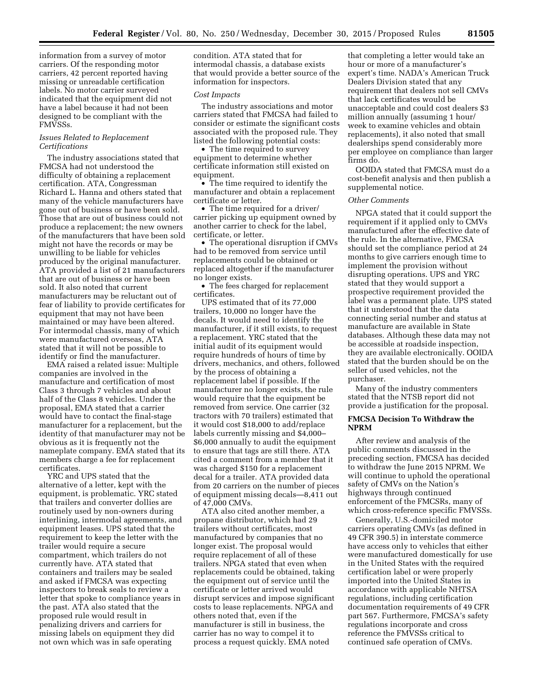information from a survey of motor carriers. Of the responding motor carriers, 42 percent reported having missing or unreadable certification labels. No motor carrier surveyed indicated that the equipment did not have a label because it had not been designed to be compliant with the FMVSSs.

# *Issues Related to Replacement Certifications*

The industry associations stated that FMCSA had not understood the difficulty of obtaining a replacement certification. ATA, Congressman Richard L. Hanna and others stated that many of the vehicle manufacturers have gone out of business or have been sold. Those that are out of business could not produce a replacement; the new owners of the manufacturers that have been sold might not have the records or may be unwilling to be liable for vehicles produced by the original manufacturer. ATA provided a list of 21 manufacturers that are out of business or have been sold. It also noted that current manufacturers may be reluctant out of fear of liability to provide certificates for equipment that may not have been maintained or may have been altered. For intermodal chassis, many of which were manufactured overseas, ATA stated that it will not be possible to identify or find the manufacturer.

EMA raised a related issue: Multiple companies are involved in the manufacture and certification of most Class 3 through 7 vehicles and about half of the Class 8 vehicles. Under the proposal, EMA stated that a carrier would have to contact the final-stage manufacturer for a replacement, but the identity of that manufacturer may not be obvious as it is frequently not the nameplate company. EMA stated that its members charge a fee for replacement certificates.

YRC and UPS stated that the alternative of a letter, kept with the equipment, is problematic. YRC stated that trailers and converter dollies are routinely used by non-owners during interlining, intermodal agreements, and equipment leases. UPS stated that the requirement to keep the letter with the trailer would require a secure compartment, which trailers do not currently have. ATA stated that containers and trailers may be sealed and asked if FMCSA was expecting inspectors to break seals to review a letter that spoke to compliance years in the past. ATA also stated that the proposed rule would result in penalizing drivers and carriers for missing labels on equipment they did not own which was in safe operating

condition. ATA stated that for intermodal chassis, a database exists that would provide a better source of the information for inspectors.

#### *Cost Impacts*

The industry associations and motor carriers stated that FMCSA had failed to consider or estimate the significant costs associated with the proposed rule. They listed the following potential costs:

• The time required to survey equipment to determine whether certificate information still existed on equipment.

• The time required to identify the manufacturer and obtain a replacement certificate or letter.

• The time required for a driver/ carrier picking up equipment owned by another carrier to check for the label, certificate, or letter.

• The operational disruption if CMVs had to be removed from service until replacements could be obtained or replaced altogether if the manufacturer no longer exists.

• The fees charged for replacement certificates.

UPS estimated that of its 77,000 trailers, 10,000 no longer have the decals. It would need to identify the manufacturer, if it still exists, to request a replacement. YRC stated that the initial audit of its equipment would require hundreds of hours of time by drivers, mechanics, and others, followed by the process of obtaining a replacement label if possible. If the manufacturer no longer exists, the rule would require that the equipment be removed from service. One carrier (32 tractors with 70 trailers) estimated that it would cost \$18,000 to add/replace labels currently missing and \$4,000– \$6,000 annually to audit the equipment to ensure that tags are still there. ATA cited a comment from a member that it was charged \$150 for a replacement decal for a trailer. ATA provided data from 20 carriers on the number of pieces of equipment missing decals—8,411 out of 47,000 CMVs.

ATA also cited another member, a propane distributor, which had 29 trailers without certificates, most manufactured by companies that no longer exist. The proposal would require replacement of all of these trailers. NPGA stated that even when replacements could be obtained, taking the equipment out of service until the certificate or letter arrived would disrupt services and impose significant costs to lease replacements. NPGA and others noted that, even if the manufacturer is still in business, the carrier has no way to compel it to process a request quickly. EMA noted

that completing a letter would take an hour or more of a manufacturer's expert's time. NADA's American Truck Dealers Division stated that any requirement that dealers not sell CMVs that lack certificates would be unacceptable and could cost dealers \$3 million annually (assuming 1 hour/ week to examine vehicles and obtain replacements), it also noted that small dealerships spend considerably more per employee on compliance than larger firms do.

OOIDA stated that FMCSA must do a cost-benefit analysis and then publish a supplemental notice.

# *Other Comments*

NPGA stated that it could support the requirement if it applied only to CMVs manufactured after the effective date of the rule. In the alternative, FMCSA should set the compliance period at 24 months to give carriers enough time to implement the provision without disrupting operations. UPS and YRC stated that they would support a prospective requirement provided the label was a permanent plate. UPS stated that it understood that the data connecting serial number and status at manufacture are available in State databases. Although these data may not be accessible at roadside inspection, they are available electronically. OOIDA stated that the burden should be on the seller of used vehicles, not the purchaser.

Many of the industry commenters stated that the NTSB report did not provide a justification for the proposal.

### **FMCSA Decision To Withdraw the NPRM**

After review and analysis of the public comments discussed in the preceding section, FMCSA has decided to withdraw the June 2015 NPRM. We will continue to uphold the operational safety of CMVs on the Nation's highways through continued enforcement of the FMCSRs, many of which cross-reference specific FMVSSs.

Generally, U.S.-domiciled motor carriers operating CMVs (as defined in 49 CFR 390.5) in interstate commerce have access only to vehicles that either were manufactured domestically for use in the United States with the required certification label or were properly imported into the United States in accordance with applicable NHTSA regulations, including certification documentation requirements of 49 CFR part 567. Furthermore, FMCSA's safety regulations incorporate and cross reference the FMVSSs critical to continued safe operation of CMVs.